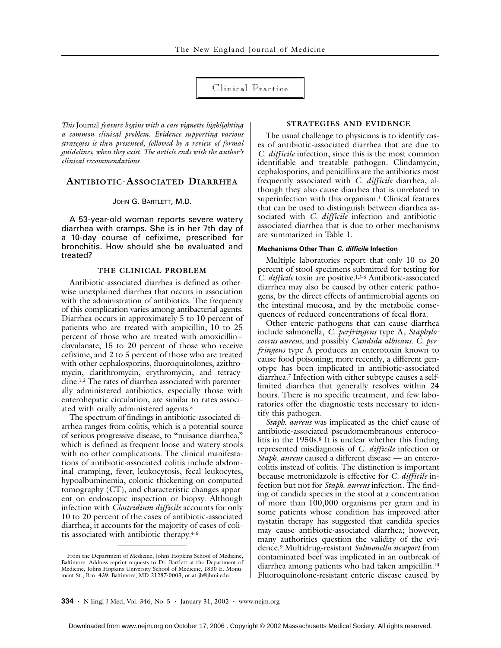# Clinical Practice

*This* Journal *feature begins with a case vignette highlighting a common clinical problem. Evidence supporting various strategies is then presented, followed by a review of formal guidelines, when they exist. The article ends with the author's clinical recommendations.*

# **ANTIBIOTIC-ASSOCIATED DIARRHEA**

### JOHN G. BARTLETT, M.D.

A 53-year-old woman reports severe watery diarrhea with cramps. She is in her 7th day of a 10-day course of cefixime, prescribed for bronchitis. How should she be evaluated and treated?

## **THE CLINICAL PROBLEM**

Antibiotic-associated diarrhea is defined as otherwise unexplained diarrhea that occurs in association with the administration of antibiotics. The frequency of this complication varies among antibacterial agents. Diarrhea occurs in approximately 5 to 10 percent of patients who are treated with ampicillin, 10 to 25 percent of those who are treated with amoxicillin– clavulanate, 15 to 20 percent of those who receive cefixime, and 2 to 5 percent of those who are treated with other cephalosporins, fluoroquinolones, azithromycin, clarithromycin, erythromycin, and tetracycline.1,2 The rates of diarrhea associated with parenterally administered antibiotics, especially those with enterohepatic circulation, are similar to rates associated with orally administered agents.3

The spectrum of findings in antibiotic-associated diarrhea ranges from colitis, which is a potential source of serious progressive disease, to "nuisance diarrhea," which is defined as frequent loose and watery stools with no other complications. The clinical manifestations of antibiotic-associated colitis include abdominal cramping, fever, leukocytosis, fecal leukocytes, hypoalbuminemia, colonic thickening on computed tomography (CT), and characteristic changes apparent on endoscopic inspection or biopsy. Although infection with *Clostridium difficile* accounts for only 10 to 20 percent of the cases of antibiotic-associated diarrhea, it accounts for the majority of cases of colitis associated with antibiotic therapy.4-6

## **STRATEGIES AND EVIDENCE**

The usual challenge to physicians is to identify cases of antibiotic-associated diarrhea that are due to *C. difficile* infection, since this is the most common identifiable and treatable pathogen. Clindamycin, cephalosporins, and penicillins are the antibiotics most frequently associated with *C. difficile* diarrhea, although they also cause diarrhea that is unrelated to superinfection with this organism.<sup>1</sup> Clinical features that can be used to distinguish between diarrhea associated with *C. difficile* infection and antibioticassociated diarrhea that is due to other mechanisms are summarized in Table 1.

## **Mechanisms Other Than** *C. difficile* **Infection**

Multiple laboratories report that only 10 to 20 percent of stool specimens submitted for testing for *C. difficile* toxin are positive.1,3-6 Antibiotic-associated diarrhea may also be caused by other enteric pathogens, by the direct effects of antimicrobial agents on the intestinal mucosa, and by the metabolic consequences of reduced concentrations of fecal flora.

Other enteric pathogens that can cause diarrhea include salmonella, *C. perfringens* type A, *Staphylococcus aureus*, and possibly *Candida albicans*. *C. perfringens* type A produces an enterotoxin known to cause food poisoning; more recently, a different genotype has been implicated in antibiotic-associated diarrhea.7 Infection with either subtype causes a selflimited diarrhea that generally resolves within 24 hours. There is no specific treatment, and few laboratories offer the diagnostic tests necessary to identify this pathogen.

*Staph. aureus* was implicated as the chief cause of antibiotic-associated pseudomembranous enterocolitis in the 1950s.8 It is unclear whether this finding represented misdiagnosis of *C. difficile* infection or *Staph. aureus* caused a different disease — an enterocolitis instead of colitis. The distinction is important because metronidazole is effective for *C. difficile* infection but not for *Staph. aureus* infection. The finding of candida species in the stool at a concentration of more than 100,000 organisms per gram and in some patients whose condition has improved after nystatin therapy has suggested that candida species may cause antibiotic-associated diarrhea; however, many authorities question the validity of the evidence.9 Multidrug-resistant *Salmonella newport* from contaminated beef was implicated in an outbreak of diarrhea among patients who had taken ampicillin.10 Fluoroquinolone-resistant enteric disease caused by

From the Department of Medicine, Johns Hopkins School of Medicine, Baltimore. Address reprint requests to Dr. Bartlett at the Department of Medicine, Johns Hopkins University School of Medicine, 1830 E. Monument St., Rm. 439, Baltimore, MD 21287-0003, or at jb@jhmi.edu.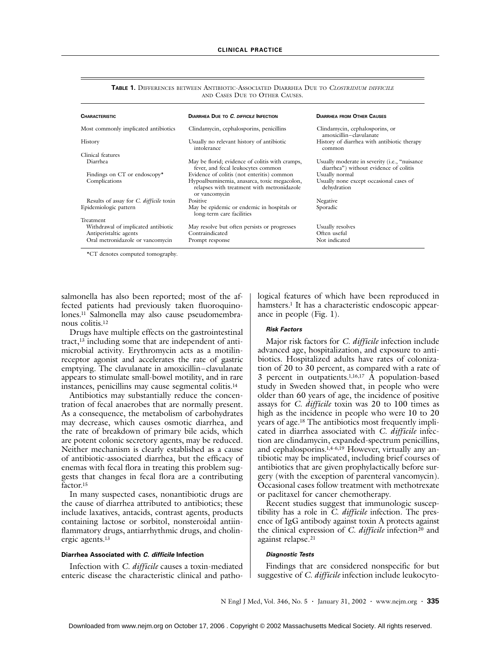| <b>CHARACTERISTIC</b>                          | <b>DIARRHEA DUE TO C. DIFFICILE INFECTION</b>                                                              | <b>DIARRHEA FROM OTHER CAUSES</b>                                                        |
|------------------------------------------------|------------------------------------------------------------------------------------------------------------|------------------------------------------------------------------------------------------|
| Most commonly implicated antibiotics           | Clindamycin, cephalosporins, penicillins                                                                   | Clindamycin, cephalosporins, or<br>amoxicillin-clavulanate                               |
| History                                        | Usually no relevant history of antibiotic<br>intolerance                                                   | History of diarrhea with antibiotic therapy<br>common                                    |
| Clinical features                              |                                                                                                            |                                                                                          |
| Diarrhea                                       | May be florid; evidence of colitis with cramps,<br>fever, and fecal leukocytes common                      | Usually moderate in severity (i.e., "nuisance"<br>diarrhea") without evidence of colitis |
| Findings on CT or endoscopy*                   | Evidence of colitis (not enteritis) common                                                                 | Usually normal                                                                           |
| Complications                                  | Hypoalbuminemia, anasarca, toxic megacolon,<br>relapses with treatment with metronidazole<br>or vancomycin | Usually none except occasional cases of<br>dehydration                                   |
| Results of assay for <i>C. difficile</i> toxin | <b>Positive</b>                                                                                            | Negative                                                                                 |
| Epidemiologic pattern                          | May be epidemic or endemic in hospitals or<br>long-term care facilities                                    | Sporadic                                                                                 |
| Treatment                                      |                                                                                                            |                                                                                          |
| Withdrawal of implicated antibiotic            | May resolve but often persists or progresses                                                               | Usually resolves                                                                         |
| Antiperistaltic agents                         | Contraindicated                                                                                            | Often useful                                                                             |
| Oral metronidazole or vancomycin               | Prompt response                                                                                            | Not indicated                                                                            |

**TABLE 1.** DIFFERENCES BETWEEN ANTIBIOTIC-ASSOCIATED DIARRHEA DUE TO *CLOSTRIDIUM DIFFICILE* AND CASES DUE TO OTHER CAUSES.

\*CT denotes computed tomography.

salmonella has also been reported; most of the affected patients had previously taken fluoroquinolones.11 Salmonella may also cause pseudomembranous colitis.12

Drugs have multiple effects on the gastrointestinal tract,13 including some that are independent of antimicrobial activity. Erythromycin acts as a motilinreceptor agonist and accelerates the rate of gastric emptying. The clavulanate in amoxicillin–clavulanate appears to stimulate small-bowel motility, and in rare instances, penicillins may cause segmental colitis.14

Antibiotics may substantially reduce the concentration of fecal anaerobes that are normally present. As a consequence, the metabolism of carbohydrates may decrease, which causes osmotic diarrhea, and the rate of breakdown of primary bile acids, which are potent colonic secretory agents, may be reduced. Neither mechanism is clearly established as a cause of antibiotic-associated diarrhea, but the efficacy of enemas with fecal flora in treating this problem suggests that changes in fecal flora are a contributing factor.<sup>15</sup>

In many suspected cases, nonantibiotic drugs are the cause of diarrhea attributed to antibiotics; these include laxatives, antacids, contrast agents, products containing lactose or sorbitol, nonsteroidal antiinflammatory drugs, antiarrhythmic drugs, and cholinergic agents.13

## **Diarrhea Associated with** *C. difficile* **Infection**

Infection with *C. difficile* causes a toxin-mediated enteric disease the characteristic clinical and pathological features of which have been reproduced in hamsters.<sup>1</sup> It has a characteristic endoscopic appearance in people (Fig. 1).

#### *Risk Factors*

Major risk factors for *C. difficile* infection include advanced age, hospitalization, and exposure to antibiotics. Hospitalized adults have rates of colonization of 20 to 30 percent, as compared with a rate of 3 percent in outpatients.<sup>1,16,17</sup>  $\hat{A}$  population-based study in Sweden showed that, in people who were older than 60 years of age, the incidence of positive assays for *C. difficile* toxin was 20 to 100 times as high as the incidence in people who were 10 to 20 years of age.18 The antibiotics most frequently implicated in diarrhea associated with *C. difficile* infection are clindamycin, expanded-spectrum penicillins, and cephalosporins.1,4-6,19 However, virtually any antibiotic may be implicated, including brief courses of antibiotics that are given prophylactically before surgery (with the exception of parenteral vancomycin). Occasional cases follow treatment with methotrexate or paclitaxel for cancer chemotherapy.

Recent studies suggest that immunologic susceptibility has a role in *C. difficile* infection. The presence of IgG antibody against toxin A protects against the clinical expression of *C. difficile* infection<sup>20</sup> and against relapse.<sup>21</sup>

## *Diagnostic Tests*

Findings that are considered nonspecific for but suggestive of *C. difficile* infection include leukocyto-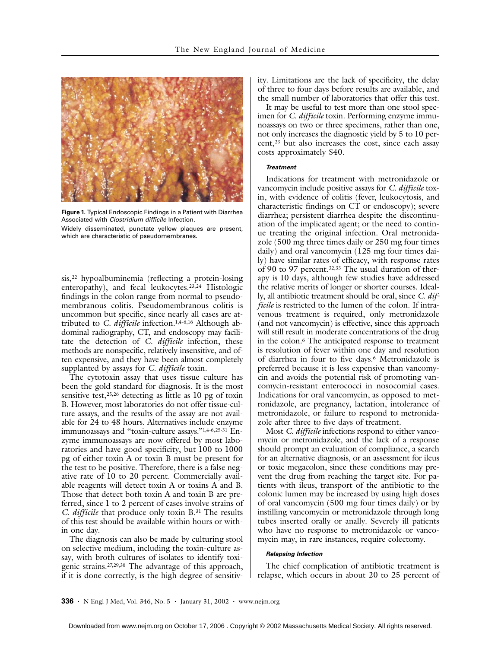

**Figure 1.** Typical Endoscopic Findings in a Patient with Diarrhea Associated with Clostridium difficile Infection. Widely disseminated, punctate yellow plaques are present,

which are characteristic of pseudomembranes.

sis,22 hypoalbuminemia (reflecting a protein-losing enteropathy), and fecal leukocytes.23,24 Histologic findings in the colon range from normal to pseudomembranous colitis. Pseudomembranous colitis is uncommon but specific, since nearly all cases are attributed to *C. difficile* infection.1,4-6,16 Although abdominal radiography, CT, and endoscopy may facilitate the detection of *C. difficile* infection, these methods are nonspecific, relatively insensitive, and often expensive, and they have been almost completely supplanted by assays for *C. difficile* toxin.

The cytotoxin assay that uses tissue culture has been the gold standard for diagnosis. It is the most sensitive test,25,26 detecting as little as 10 pg of toxin B. However, most laboratories do not offer tissue-culture assays, and the results of the assay are not available for 24 to 48 hours. Alternatives include enzyme immunoassays and "toxin-culture assays."1,4-6,25-31 Enzyme immunoassays are now offered by most laboratories and have good specificity, but 100 to 1000 pg of either toxin A or toxin B must be present for the test to be positive. Therefore, there is a false negative rate of 10 to 20 percent. Commercially available reagents will detect toxin A or toxins A and B. Those that detect both toxin A and toxin B are preferred, since 1 to 2 percent of cases involve strains of *C. difficile* that produce only toxin B.31 The results of this test should be available within hours or within one day.

The diagnosis can also be made by culturing stool on selective medium, including the toxin-culture assay, with broth cultures of isolates to identify toxigenic strains.27,29,30 The advantage of this approach, if it is done correctly, is the high degree of sensitivity. Limitations are the lack of specificity, the delay of three to four days before results are available, and the small number of laboratories that offer this test.

It may be useful to test more than one stool specimen for *C. difficile* toxin. Performing enzyme immunoassays on two or three specimens, rather than one, not only increases the diagnostic yield by 5 to 10 percent,<sup>23</sup> but also increases the cost, since each assay costs approximately \$40.

#### *Treatment*

Indications for treatment with metronidazole or vancomycin include positive assays for *C. difficile* toxin, with evidence of colitis (fever, leukocytosis, and characteristic findings on CT or endoscopy); severe diarrhea; persistent diarrhea despite the discontinuation of the implicated agent; or the need to continue treating the original infection. Oral metronidazole (500 mg three times daily or 250 mg four times daily) and oral vancomycin (125 mg four times daily) have similar rates of efficacy, with response rates of 90 to 97 percent.32,33 The usual duration of therapy is 10 days, although few studies have addressed the relative merits of longer or shorter courses. Ideally, all antibiotic treatment should be oral, since *C. difficile* is restricted to the lumen of the colon. If intravenous treatment is required, only metronidazole (and not vancomycin) is effective, since this approach will still result in moderate concentrations of the drug in the colon.6 The anticipated response to treatment is resolution of fever within one day and resolution of diarrhea in four to five days.6 Metronidazole is preferred because it is less expensive than vancomycin and avoids the potential risk of promoting vancomycin-resistant enterococci in nosocomial cases. Indications for oral vancomycin, as opposed to metronidazole, are pregnancy, lactation, intolerance of metronidazole, or failure to respond to metronidazole after three to five days of treatment.

Most *C. difficile* infections respond to either vancomycin or metronidazole, and the lack of a response should prompt an evaluation of compliance, a search for an alternative diagnosis, or an assessment for ileus or toxic megacolon, since these conditions may prevent the drug from reaching the target site. For patients with ileus, transport of the antibiotic to the colonic lumen may be increased by using high doses of oral vancomycin (500 mg four times daily) or by instilling vancomycin or metronidazole through long tubes inserted orally or anally. Severely ill patients who have no response to metronidazole or vancomycin may, in rare instances, require colectomy.

#### *Relapsing Infection*

The chief complication of antibiotic treatment is relapse, which occurs in about 20 to 25 percent of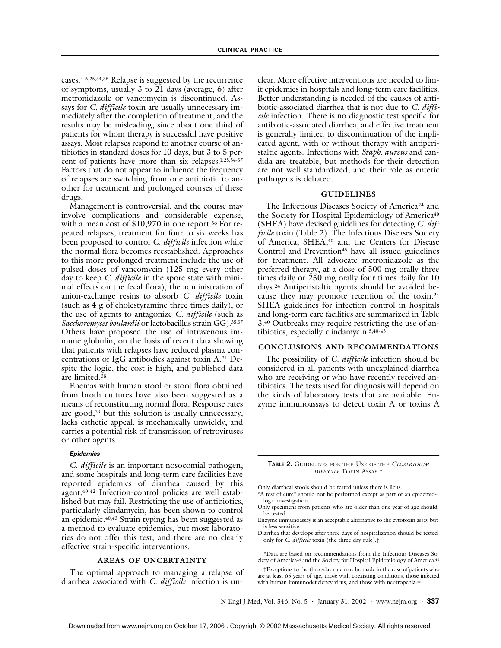cases.4-6,25,34,35 Relapse is suggested by the recurrence of symptoms, usually 3 to 21 days (average, 6) after metronidazole or vancomycin is discontinued. Assays for *C. difficile* toxin are usually unnecessary immediately after the completion of treatment, and the results may be misleading, since about one third of patients for whom therapy is successful have positive assays. Most relapses respond to another course of antibiotics in standard doses for 10 days, but 3 to 5 percent of patients have more than six relapses.1,25,34-37 Factors that do not appear to influence the frequency of relapses are switching from one antibiotic to another for treatment and prolonged courses of these drugs.

Management is controversial, and the course may involve complications and considerable expense, with a mean cost of \$10,970 in one report.<sup>36</sup> For repeated relapses, treatment for four to six weeks has been proposed to control *C. difficile* infection while the normal flora becomes reestablished. Approaches to this more prolonged treatment include the use of pulsed doses of vancomycin (125 mg every other day to keep *C. difficile* in the spore state with minimal effects on the fecal flora), the administration of anion-exchange resins to absorb *C. difficile* toxin (such as 4 g of cholestyramine three times daily), or the use of agents to antagonize *C. difficile* (such as *Saccharomyces boulardii* or lactobacillus strain GG).35,37 Others have proposed the use of intravenous immune globulin, on the basis of recent data showing that patients with relapses have reduced plasma concentrations of IgG antibodies against toxin A.21 Despite the logic, the cost is high, and published data are limited.38

Enemas with human stool or stool flora obtained from broth cultures have also been suggested as a means of reconstituting normal flora. Response rates are good,<sup>39</sup> but this solution is usually unnecessary, lacks esthetic appeal, is mechanically unwieldy, and carries a potential risk of transmission of retroviruses or other agents.

## *Epidemics*

*C. difficile* is an important nosocomial pathogen, and some hospitals and long-term care facilities have reported epidemics of diarrhea caused by this agent.40-42 Infection-control policies are well established but may fail. Restricting the use of antibiotics, particularly clindamycin, has been shown to control an epidemic.40,43 Strain typing has been suggested as a method to evaluate epidemics, but most laboratories do not offer this test, and there are no clearly effective strain-specific interventions.

### **AREAS OF UNCERTAINTY**

The optimal approach to managing a relapse of diarrhea associated with *C. difficile* infection is unclear. More effective interventions are needed to limit epidemics in hospitals and long-term care facilities. Better understanding is needed of the causes of antibiotic-associated diarrhea that is not due to *C. difficile* infection. There is no diagnostic test specific for antibiotic-associated diarrhea, and effective treatment is generally limited to discontinuation of the implicated agent, with or without therapy with antiperistaltic agents. Infections with *Staph. aureus* and candida are treatable, but methods for their detection are not well standardized, and their role as enteric pathogens is debated.

#### **GUIDELINES**

The Infectious Diseases Society of America<sup>24</sup> and the Society for Hospital Epidemiology of America<sup>40</sup> (SHEA) have devised guidelines for detecting *C. difficile* toxin (Table 2). The Infectious Diseases Society of America, SHEA,<sup>40</sup> and the Centers for Disease Control and Prevention<sup>45</sup> have all issued guidelines for treatment. All advocate metronidazole as the preferred therapy, at a dose of 500 mg orally three times daily or 250 mg orally four times daily for 10 days.24 Antiperistaltic agents should be avoided because they may promote retention of the toxin.24 SHEA guidelines for infection control in hospitals and long-term care facilities are summarized in Table 3.40 Outbreaks may require restricting the use of antibiotics, especially clindamycin.5,40-43

#### **CONCLUSIONS AND RECOMMENDATIONS**

The possibility of *C. difficile* infection should be considered in all patients with unexplained diarrhea who are receiving or who have recently received antibiotics. The tests used for diagnosis will depend on the kinds of laboratory tests that are available. Enzyme immunoassays to detect toxin A or toxins A

**TABLE 2.** GUIDELINES FOR THE USE OF THE *CLOSTRIDIUM DIFFICILE* TOXIN ASSAY.\*

Only diarrheal stools should be tested unless there is ileus.

- "A test of cure" should not be performed except as part of an epidemiologic investigation.
- Only specimens from patients who are older than one year of age should be tested.
- Enzyme immunoassay is an acceptable alternative to the cytotoxin assay but is less sensitive.
- Diarrhea that develops after three days of hospitalization should be tested only for *C. difficile* toxin (the three-day rule).†

\*Data are based on recommendations from the Infectious Diseases Society of America24 and the Society for Hospital Epidemiology of America.40

†Exceptions to the three-day rule may be made in the case of patients who are at least 65 years of age, those with coexisting conditions, those infected with human immunodeficiency virus, and those with neutropenia.44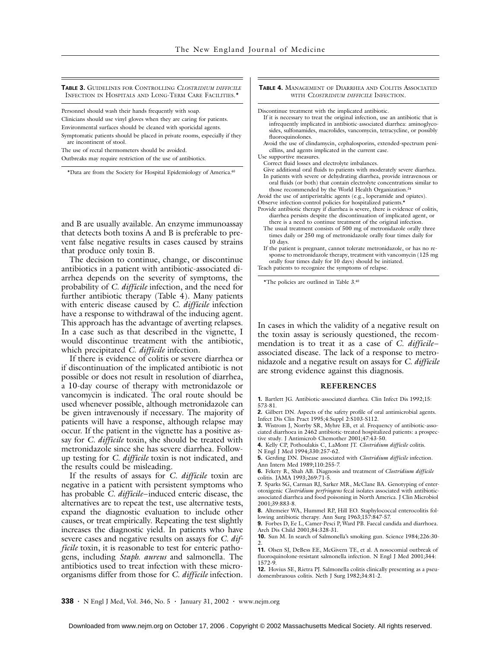**TABLE 3.** GUIDELINES FOR CONTROLLING *CLOSTRIDIUM DIFFICILE* INFECTION IN HOSPITALS AND LONG-TERM CARE FACILITIES.<sup>\*</sup>

Personnel should wash their hands frequently with soap.

Clinicians should use vinyl gloves when they are caring for patients.

Environmental surfaces should be cleaned with sporicidal agents.

Symptomatic patients should be placed in private rooms, especially if they are incontinent of stool.

The use of rectal thermometers should be avoided.

Outbreaks may require restriction of the use of antibiotics.

\*Data are from the Society for Hospital Epidemiology of America.40

and B are usually available. An enzyme immunoassay that detects both toxins A and B is preferable to prevent false negative results in cases caused by strains that produce only toxin B.

The decision to continue, change, or discontinue antibiotics in a patient with antibiotic-associated diarrhea depends on the severity of symptoms, the probability of *C. difficile* infection, and the need for further antibiotic therapy (Table 4). Many patients with enteric disease caused by *C. difficile* infection have a response to withdrawal of the inducing agent. This approach has the advantage of averting relapses. In a case such as that described in the vignette, I would discontinue treatment with the antibiotic, which precipitated *C. difficile* infection.

If there is evidence of colitis or severe diarrhea or if discontinuation of the implicated antibiotic is not possible or does not result in resolution of diarrhea, a 10-day course of therapy with metronidazole or vancomycin is indicated. The oral route should be used whenever possible, although metronidazole can be given intravenously if necessary. The majority of patients will have a response, although relapse may occur. If the patient in the vignette has a positive assay for *C. difficile* toxin, she should be treated with metronidazole since she has severe diarrhea. Followup testing for *C. difficile* toxin is not indicated, and the results could be misleading.

If the results of assays for *C. difficile* toxin are negative in a patient with persistent symptoms who has probable *C. difficile*–induced enteric disease, the alternatives are to repeat the test, use alternative tests, expand the diagnostic evaluation to include other causes, or treat empirically. Repeating the test slightly increases the diagnostic yield. In patients who have severe cases and negative results on assays for *C. difficile* toxin, it is reasonable to test for enteric pathogens, including *Staph. aureus* and salmonella. The antibiotics used to treat infection with these microorganisms differ from those for *C. difficile* infection.

**TABLE 4.** MANAGEMENT OF DIARRHEA AND COLITIS ASSOCIATED WITH *CLOSTRIDIUM DIFFICILE* INFECTION.

Discontinue treatment with the implicated antibiotic.

- If it is necessary to treat the original infection, use an antibiotic that is infrequently implicated in antibiotic-associated diarrhea: aminoglycosides, sulfonamides, macrolides, vancomycin, tetracycline, or possibly fluoroquinolones.
- Avoid the use of clindamycin, cephalosporins, extended-spectrum penicillins, and agents implicated in the current case.
- Use supportive measures.

Correct fluid losses and electrolyte imbalances.

Give additional oral fluids to patients with moderately severe diarrhea. In patients with severe or dehydrating diarrhea, provide intravenous or oral fluids (or both) that contain electrolyte concentrations similar to those recommended by the World Health Organization.<sup>24</sup>

Avoid the use of antiperistaltic agents (e.g., loperamide and opiates). Observe infection-control policies for hospitalized patients.\*

- Provide antibiotic therapy if diarrhea is severe, there is evidence of colitis, diarrhea persists despite the discontinuation of implicated agent, or there is a need to continue treatment of the original infection.
- The usual treatment consists of 500 mg of metronidazole orally three times daily or 250 mg of metronidazole orally four times daily for 10 days.
- If the patient is pregnant, cannot tolerate metronidazole, or has no response to metronidazole therapy, treatment with vancomycin (125 mg orally four times daily for 10 days) should be initiated.

Teach patients to recognize the symptoms of relapse.

\*The policies are outlined in Table 3.40

In cases in which the validity of a negative result on the toxin assay is seriously questioned, the recommendation is to treat it as a case of *C. difficile*– associated disease. The lack of a response to metronidazole and a negative result on assays for *C. difficile* are strong evidence against this diagnosis.

#### **REFERENCES**

**1.** Bartlett JG. Antibiotic-associated diarrhea. Clin Infect Dis 1992;15: 573-81.

**2.** Gilbert DN. Aspects of the safety profile of oral antimicrobial agents. Infect Dis Clin Pract 1995;4:Suppl 2:S103-S112.

**3.** Wistrom J, Norrby SR, Myhre EB, et al. Frequency of antibiotic-associated diarrhoea in 2462 antibiotic-treated hospitalized patients: a prospec-

tive study. J Antimicrob Chemother 2001;47:43-50. **4.** Kelly CP, Pothoulakis C, LaMont JT. *Clostridium difficile* colitis.

N Engl J Med 1994;330:257-62.

**5.** Gerding DN. Disease associated with *Clostridium difficile* infection. Ann Intern Med 1989;110:255-7.

**6.** Fekety R, Shah AB. Diagnosis and treatment of *Clostridium difficile* colitis. JAMA 1993;269:71-5.

**7.** Sparks SG, Carman RJ, Sarker MR, McClane BA. Genotyping of enterotoxigenic *Clostridium perfringens* fecal isolates associated with antibioticassociated diarrhea and food poisoning in North America. J Clin Microbiol 2001;39:883-8.

**8.** Altemeier WA, Hummel RP, Hill EO. Staphylococcal enterocolitis following antibiotic therapy. Ann Surg 1963;157:847-57.

**9.** Forbes D, Ee L, Camer-Pesci P, Ward PB. Faecal candida and diarrhoea. Arch Dis Child 2001;84:328-31.

**10.** Sun M. In search of Salmonella's smoking gun. Science 1984;226:30- 2.

**11.** Olsen SJ, DeBess EE, McGivern TE, et al. A nosocomial outbreak of fluoroquinolone-resistant salmonella infection. N Engl J Med 2001;344: 1572-9.

**12.** Hovius SE, Rietra PJ. Salmonella colitis clinically presenting as a pseudomembranous colitis. Neth J Surg 1982;34:81-2.